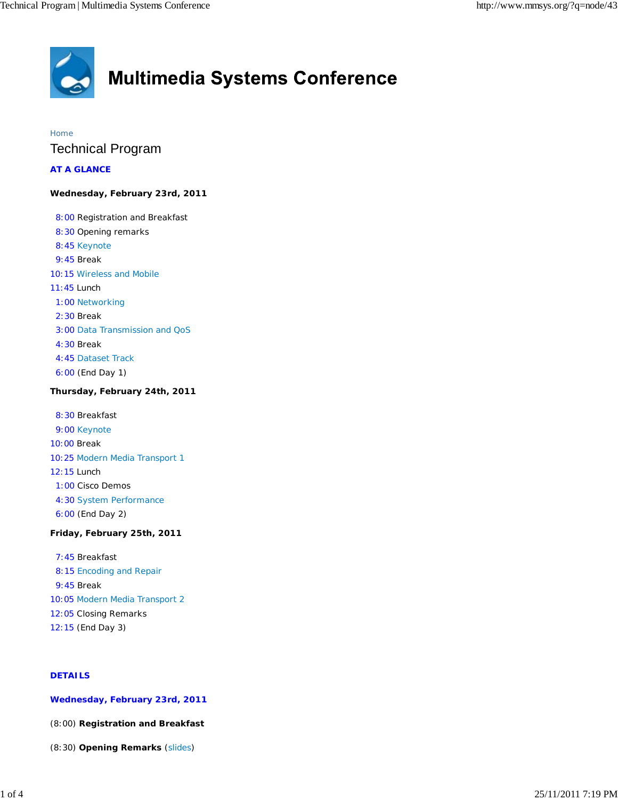

# Home Technical Program

**AT A GLANCE**

### **Wednesday, February 23rd, 2011**

 8:00 Registration and Breakfast 8:30 Opening remarks 8:45 Keynote 9:45 Break 10:15 Wireless and Mobile 11:45 Lunch 1:00 Networking 2:30 Break 3:00 Data Transmission and QoS 4:30 Break 4:45 Dataset Track 6:00 (End Day 1)

# **Thursday, February 24th, 2011**

 8:30 Breakfast 9:00 Keynote 10:00 Break 10:25 Modern Media Transport 1 12:15 Lunch 1:00 Cisco Demos 4:30 System Performance 6:00 (End Day 2)

# **Friday, February 25th, 2011**

 7:45 Breakfast 8:15 Encoding and Repair 9:45 Break 10:05 Modern Media Transport 2 12:05 Closing Remarks 12:15 (End Day 3)

# **DETAILS**

**Wednesday, February 23rd, 2011**

(8:00) **Registration and Breakfast**

(8:30) **Opening Remarks** (slides)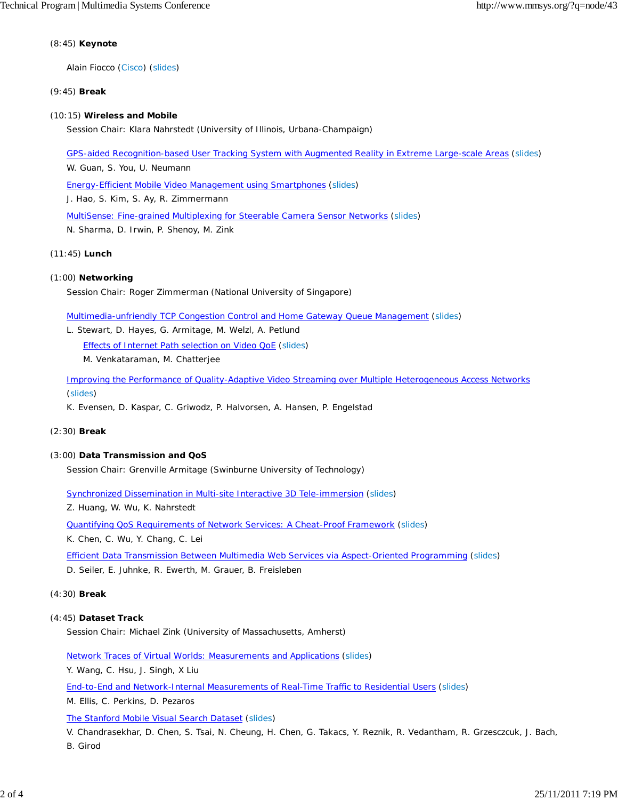#### (8:45) **Keynote**

Alain Fiocco (Cisco) (slides)

#### (9:45) **Break**

#### (10:15) **Wireless and Mobile**

Session Chair: Klara Nahrstedt (University of Illinois, Urbana-Champaign)

GPS-aided Recognition-based User Tracking System with Augmented Reality in Extreme Large-scale Areas (slides)

W. Guan, S. You, U. Neumann

Energy-Efficient Mobile Video Management using Smartphones (slides)

J. Hao, S. Kim, S. Ay, R. Zimmermann

MultiSense: Fine-grained Multiplexing for Steerable Camera Sensor Networks (slides)

N. Sharma, D. Irwin, P. Shenoy, M. Zink

#### (11:45) **Lunch**

#### (1:00) **Networking**

Session Chair: Roger Zimmerman (National University of Singapore)

Multimedia-unfriendly TCP Congestion Control and Home Gateway Queue Management (slides)

L. Stewart, D. Hayes, G. Armitage, M. Welzl, A. Petlund Effects of Internet Path selection on Video QoE (slides) M. Venkataraman, M. Chatterjee

Improving the Performance of Quality-Adaptive Video Streaming over Multiple Heterogeneous Access Networks (slides)

K. Evensen, D. Kaspar, C. Griwodz, P. Halvorsen, A. Hansen, P. Engelstad

#### (2:30) **Break**

#### (3:00) **Data Transmission and QoS**

Session Chair: Grenville Armitage (Swinburne University of Technology)

Synchronized Dissemination in Multi-site Interactive 3D Tele-immersion (slides)

Z. Huang, W. Wu, K. Nahrstedt

Quantifying QoS Requirements of Network Services: A Cheat-Proof Framework (slides)

K. Chen, C. Wu, Y. Chang, C. Lei

Efficient Data Transmission Between Multimedia Web Services via Aspect-Oriented Programming (slides) D. Seiler, E. Juhnke, R. Ewerth, M. Grauer, B. Freisleben

#### (4:30) **Break**

#### (4:45) **Dataset Track**

Session Chair: Michael Zink (University of Massachusetts, Amherst)

Network Traces of Virtual Worlds: Measurements and Applications (slides)

Y. Wang, C. Hsu, J. Singh, X Liu

End-to-End and Network-Internal Measurements of Real-Time Traffic to Residential Users (slides)

M. Ellis, C. Perkins, D. Pezaros

The Stanford Mobile Visual Search Dataset (slides)

V. Chandrasekhar, D. Chen, S. Tsai, N. Cheung, H. Chen, G. Takacs, Y. Reznik, R. Vedantham, R. Grzesczcuk, J. Bach, B. Girod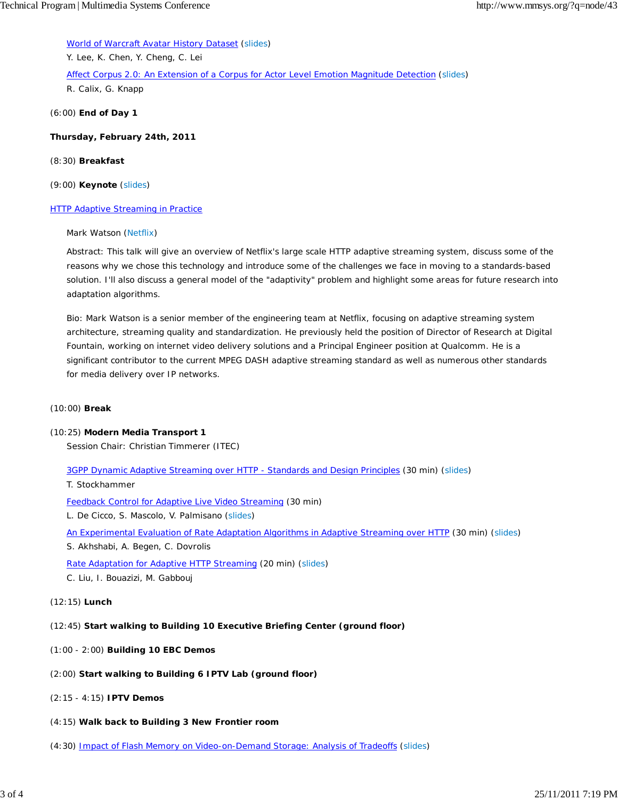World of Warcraft Avatar History Dataset (slides)

Y. Lee, K. Chen, Y. Cheng, C. Lei

Affect Corpus 2.0: An Extension of a Corpus for Actor Level Emotion Magnitude Detection (slides) R. Calix, G. Knapp

(6:00) **End of Day 1**

**Thursday, February 24th, 2011**

#### (8:30) **Breakfast**

(9:00) **Keynote** (slides)

#### **HTTP Adaptive Streaming in Practice**

#### Mark Watson (Netflix)

Abstract: This talk will give an overview of Netflix's large scale HTTP adaptive streaming system, discuss some of the reasons why we chose this technology and introduce some of the challenges we face in moving to a standards-based solution. I'll also discuss a general model of the "adaptivity" problem and highlight some areas for future research into adaptation algorithms.

Bio: Mark Watson is a senior member of the engineering team at Netflix, focusing on adaptive streaming system architecture, streaming quality and standardization. He previously held the position of Director of Research at Digital Fountain, working on internet video delivery solutions and a Principal Engineer position at Qualcomm. He is a significant contributor to the current MPEG DASH adaptive streaming standard as well as numerous other standards for media delivery over IP networks.

#### (10:00) **Break**

#### (10:25) **Modern Media Transport 1**

Session Chair: Christian Timmerer (ITEC)

3GPP Dynamic Adaptive Streaming over HTTP - Standards and Design Principles (30 min) (slides)

T. Stockhammer

Feedback Control for Adaptive Live Video Streaming (30 min)

L. De Cicco, S. Mascolo, V. Palmisano (slides)

An Experimental Evaluation of Rate Adaptation Algorithms in Adaptive Streaming over HTTP (30 min) (slides)

S. Akhshabi, A. Begen, C. Dovrolis

Rate Adaptation for Adaptive HTTP Streaming (20 min) (slides)

C. Liu, I. Bouazizi, M. Gabbouj

(12:15) **Lunch**

# (12:45) **Start walking to Building 10 Executive Briefing Center (ground floor)**

- (1:00 2:00) **Building 10 EBC Demos**
- (2:00) **Start walking to Building 6 IPTV Lab (ground floor)**
- (2:15 4:15) **IPTV Demos**
- (4:15) **Walk back to Building 3 New Frontier room**
- (4:30) Impact of Flash Memory on Video-on-Demand Storage: Analysis of Tradeoffs (slides)